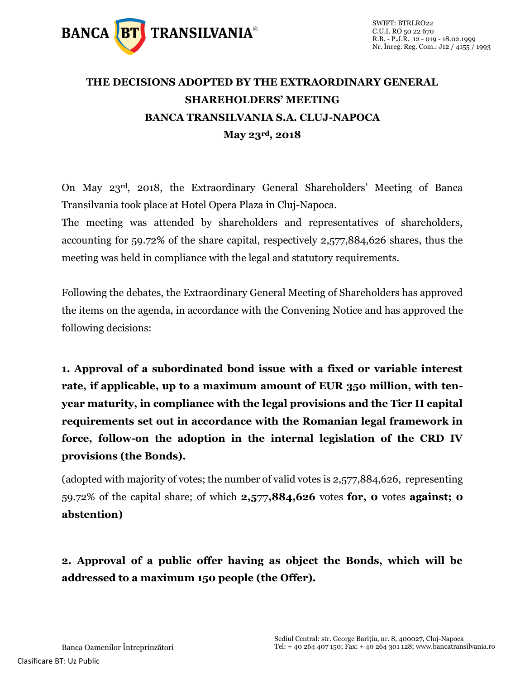

## **THE DECISIONS ADOPTED BY THE EXTRAORDINARY GENERAL SHAREHOLDERS' MEETING BANCA TRANSILVANIA S.A. CLUJ-NAPOCA May 23rd, 2018**

On May 23rd, 2018, the Extraordinary General Shareholders' Meeting of Banca Transilvania took place at Hotel Opera Plaza in Cluj-Napoca.

The meeting was attended by shareholders and representatives of shareholders, accounting for 59.72% of the share capital, respectively 2,577,884,626 shares, thus the meeting was held in compliance with the legal and statutory requirements.

Following the debates, the Extraordinary General Meeting of Shareholders has approved the items on the agenda, in accordance with the Convening Notice and has approved the following decisions:

**1. Approval of a subordinated bond issue with a fixed or variable interest rate, if applicable, up to a maximum amount of EUR 350 million, with tenyear maturity, in compliance with the legal provisions and the Tier II capital requirements set out in accordance with the Romanian legal framework in force, follow-on the adoption in the internal legislation of the CRD IV provisions (the Bonds).**

(adopted with majority of votes; the number of valid votes is 2,577,884,626, representing 59.72% of the capital share; of which **2,577,884,626** votes **for, 0** votes **against; 0 abstention)**

## **2. Approval of a public offer having as object the Bonds, which will be addressed to a maximum 150 people (the Offer).**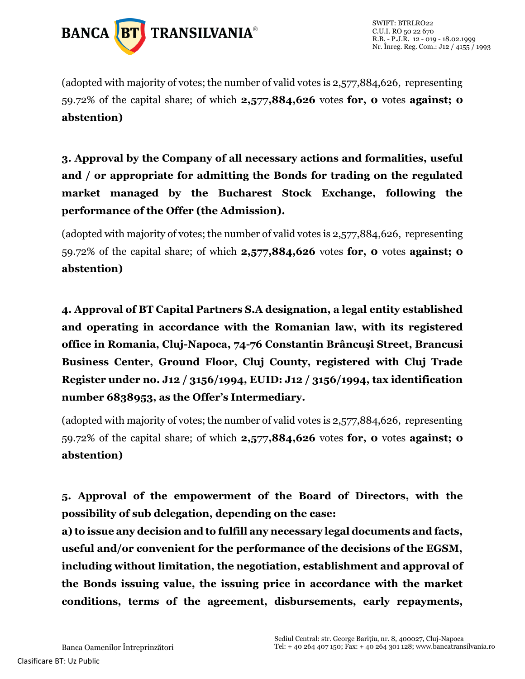

(adopted with majority of votes; the number of valid votes is 2,577,884,626, representing 59.72% of the capital share; of which **2,577,884,626** votes **for, 0** votes **against; 0 abstention)**

**3. Approval by the Company of all necessary actions and formalities, useful and / or appropriate for admitting the Bonds for trading on the regulated market managed by the Bucharest Stock Exchange, following the performance of the Offer (the Admission).**

(adopted with majority of votes; the number of valid votes is 2,577,884,626, representing 59.72% of the capital share; of which **2,577,884,626** votes **for, 0** votes **against; 0 abstention)**

**4. Approval of BT Capital Partners S.A designation, a legal entity established and operating in accordance with the Romanian law, with its registered office in Romania, Cluj-Napoca, 74-76 Constantin Brâncuşi Street, Brancusi Business Center, Ground Floor, Cluj County, registered with Cluj Trade Register under no. J12 / 3156/1994, EUID: J12 / 3156/1994, tax identification number 6838953, as the Offer's Intermediary.**

(adopted with majority of votes; the number of valid votes is 2,577,884,626, representing 59.72% of the capital share; of which **2,577,884,626** votes **for, 0** votes **against; 0 abstention)**

**5. Approval of the empowerment of the Board of Directors, with the possibility of sub delegation, depending on the case:**

**a) to issue any decision and to fulfill any necessary legal documents and facts, useful and/or convenient for the performance of the decisions of the EGSM, including without limitation, the negotiation, establishment and approval of the Bonds issuing value, the issuing price in accordance with the market conditions, terms of the agreement, disbursements, early repayments,**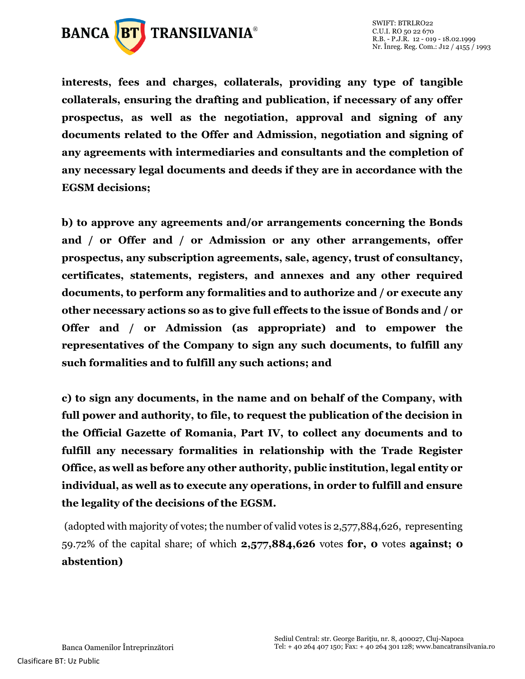

**interests, fees and charges, collaterals, providing any type of tangible collaterals, ensuring the drafting and publication, if necessary of any offer prospectus, as well as the negotiation, approval and signing of any documents related to the Offer and Admission, negotiation and signing of any agreements with intermediaries and consultants and the completion of any necessary legal documents and deeds if they are in accordance with the EGSM decisions;**

**b) to approve any agreements and/or arrangements concerning the Bonds and / or Offer and / or Admission or any other arrangements, offer prospectus, any subscription agreements, sale, agency, trust of consultancy, certificates, statements, registers, and annexes and any other required documents, to perform any formalities and to authorize and / or execute any other necessary actions so as to give full effects to the issue of Bonds and / or Offer and / or Admission (as appropriate) and to empower the representatives of the Company to sign any such documents, to fulfill any such formalities and to fulfill any such actions; and**

**c) to sign any documents, in the name and on behalf of the Company, with full power and authority, to file, to request the publication of the decision in the Official Gazette of Romania, Part IV, to collect any documents and to fulfill any necessary formalities in relationship with the Trade Register Office, as well as before any other authority, public institution, legal entity or individual, as well as to execute any operations, in order to fulfill and ensure the legality of the decisions of the EGSM.**

(adopted with majority of votes; the number of valid votes is 2,577,884,626, representing 59.72% of the capital share; of which **2,577,884,626** votes **for, 0** votes **against; 0 abstention)**